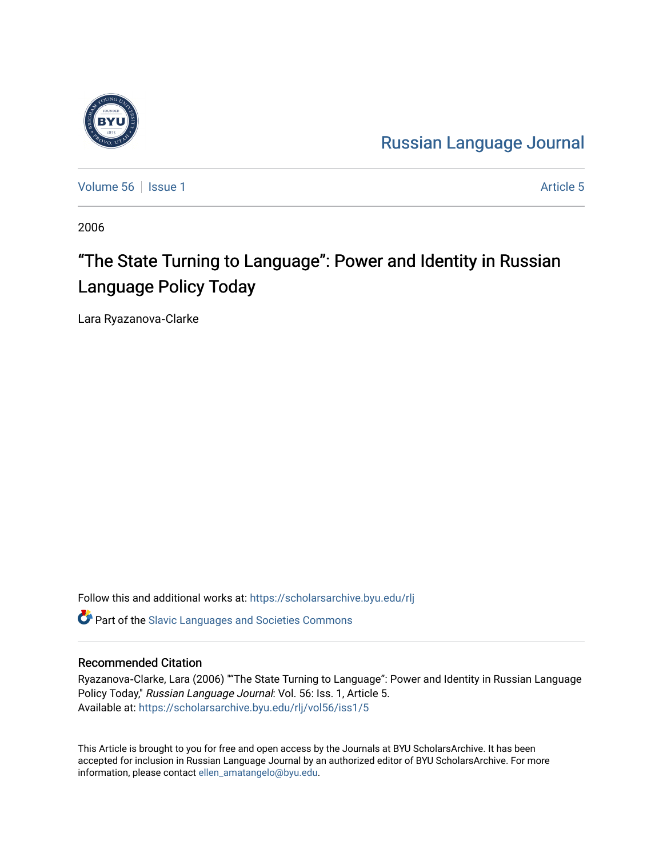# [Russian Language Journal](https://scholarsarchive.byu.edu/rlj)

[Volume 56](https://scholarsarchive.byu.edu/rlj/vol56) Setsue 1 [Article 5](https://scholarsarchive.byu.edu/rlj/vol56/iss1/5) Article 5

2006

# "The State Turning to Language": Power and Identity in Russian Language Policy Today

Lara Ryazanova‐Clarke

Follow this and additional works at: [https://scholarsarchive.byu.edu/rlj](https://scholarsarchive.byu.edu/rlj?utm_source=scholarsarchive.byu.edu%2Frlj%2Fvol56%2Fiss1%2F5&utm_medium=PDF&utm_campaign=PDFCoverPages)

**C** Part of the Slavic Languages and Societies Commons

#### Recommended Citation

Ryazanova‐Clarke, Lara (2006) ""The State Turning to Language": Power and Identity in Russian Language Policy Today," Russian Language Journal: Vol. 56: Iss. 1, Article 5. Available at: [https://scholarsarchive.byu.edu/rlj/vol56/iss1/5](https://scholarsarchive.byu.edu/rlj/vol56/iss1/5?utm_source=scholarsarchive.byu.edu%2Frlj%2Fvol56%2Fiss1%2F5&utm_medium=PDF&utm_campaign=PDFCoverPages) 

This Article is brought to you for free and open access by the Journals at BYU ScholarsArchive. It has been accepted for inclusion in Russian Language Journal by an authorized editor of BYU ScholarsArchive. For more information, please contact [ellen\\_amatangelo@byu.edu.](mailto:ellen_amatangelo@byu.edu)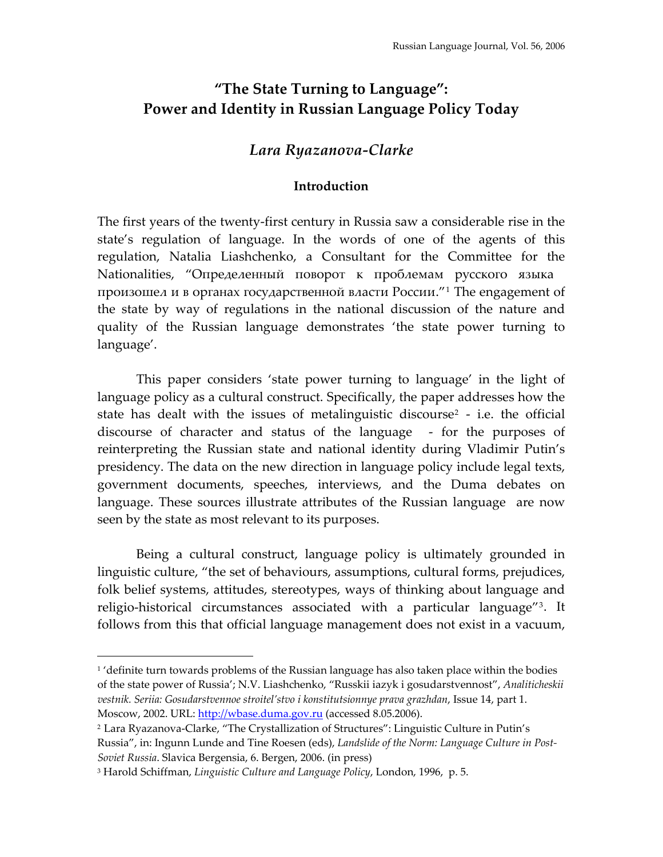## **"The State Turning to Language": Power and Identity in Russian Language Policy Today**

## *Lara Ryazanova‐Clarke*

#### **Introduction**

The first years of the twenty‐first century in Russia saw a considerable rise in the state's regulation of language. In the words of one of the agents of this regulation, Natalia Liashchenko, a Consultant for the Committee for the Nationalities, "Определенный поворот к проблемам русского языка произошел и в органах государственной власти России."[1](#page-1-0) The engagement of the state by way of regulations in the national discussion of the nature and quality of the Russian language demonstrates 'the state power turning to language'.

This paper considers 'state power turning to language' in the light of language policy as a cultural construct. Specifically, the paper addresses how the state has dealt with the issues of metalinguistic discourse<sup>[2](#page-1-1)</sup> - i.e. the official discourse of character and status of the language - for the purposes of reinterpreting the Russian state and national identity during Vladimir Putin's presidency. The data on the new direction in language policy include legal texts, government documents, speeches, interviews, and the Duma debates on language. These sources illustrate attributes of the Russian language are now seen by the state as most relevant to its purposes.

Being a cultural construct, language policy is ultimately grounded in linguistic culture, "the set of behaviours, assumptions, cultural forms, prejudices, folk belief systems, attitudes, stereotypes, ways of thinking about language and religio-historical circumstances associated with a particular language"<sup>[3](#page-1-2)</sup>. It follows from this that official language management does not exist in a vacuum,

<span id="page-1-0"></span> $<sup>1</sup>$  'definite turn towards problems of the Russian language has also taken place within the bodies</sup> of the state power of Russia'; N.V. Liashchenko, "Russkii iazyk i gosudarstvennost", *Analiticheskii vestnik. Seriia: Gosudarstvennoe stroitel'stvo i konstitutsionnye prava grazhdan*, Issue 14, part 1. Moscow, 2002. URL: [http://wbase.duma.gov.ru](http://wbase.duma.gov.ru/) (accessed 8.05.2006).

<span id="page-1-1"></span><sup>2</sup> Lara Ryazanova‐Clarke, "The Crystallization of Structures": Linguistic Culture in Putin's Russia", in: Ingunn Lunde and Tine Roesen (eds), *Landslide of the Norm: Language Culture in Post‐ Soviet Russia*. Slavica Bergensia, 6. Bergen, 2006. (in press)

<span id="page-1-2"></span><sup>3</sup> Harold Schiffman, *Linguistic Culture and Language Policy*, London, 1996, p. 5.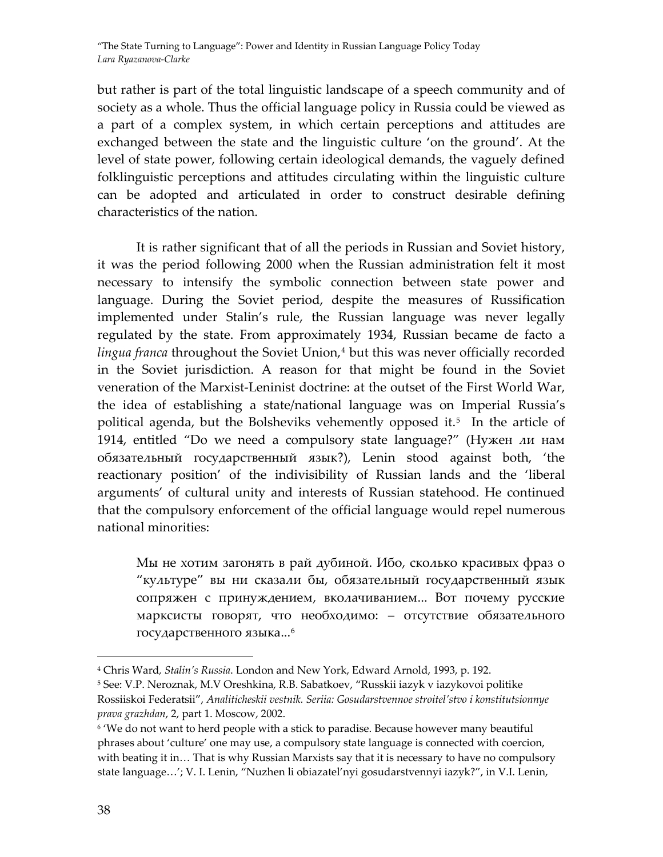but rather is part of the total linguistic landscape of a speech community and of society as a whole. Thus the official language policy in Russia could be viewed as a part of a complex system, in which certain perceptions and attitudes are exchanged between the state and the linguistic culture 'on the ground'. At the level of state power, following certain ideological demands, the vaguely defined folklinguistic perceptions and attitudes circulating within the linguistic culture can be adopted and articulated in order to construct desirable defining characteristics of the nation.

It is rather significant that of all the periods in Russian and Soviet history, it was the period following 2000 when the Russian administration felt it most necessary to intensify the symbolic connection between state power and language. During the Soviet period, despite the measures of Russification implemented under Stalin's rule, the Russian language was never legally regulated by the state. From approximately 1934, Russian became de facto a lingua franca throughout the Soviet Union,<sup>[4](#page-2-0)</sup> but this was never officially recorded in the Soviet jurisdiction. A reason for that might be found in the Soviet veneration of the Marxist‐Leninist doctrine: at the outset of the First World War, the idea of establishing a state/national language was on Imperial Russia's political agenda, but the Bolsheviks vehemently opposed it.<sup>[5](#page-2-1)</sup> In the article of 1914, entitled "Do we need a compulsory state language?" (Нужен ли нам обязательный государственный язык?), Lenin stood against both, 'the reactionary position' of the indivisibility of Russian lands and the 'liberal arguments' of cultural unity and interests of Russian statehood. He continued that the compulsory enforcement of the official language would repel numerous national minorities:

Мы не хотим загонять в рай дубиной. Ибо, сколько красивых фраз о "культуре" вы ни сказали бы, обязательный государственный язык сопряжен с принуждением, вколачиванием... Вот почему русские марксисты говорят, что необходимо: – отсутствие обязательного государственного языка...<sup>[6](#page-2-2)</sup>

<span id="page-2-0"></span><sup>4</sup> Chris Ward*, Stalin's Russia*. London and New York, Edward Arnold, 1993, p. 192.

<span id="page-2-1"></span><sup>5</sup> See: V.P. Neroznak, M.V Oreshkina, R.B. Sabatkoev, "Russkii iazyk v iazykovoi politike Rossiiskoi Federatsii", *Analiticheskii vestnik. Seriia: Gosudarstvennoe stroitel'stvo i konstitutsionnye prava grazhdan*, 2, part 1. Mosсow, 2002.

<span id="page-2-2"></span><sup>&</sup>lt;sup>6</sup> 'We do not want to herd people with a stick to paradise. Because however many beautiful phrases about 'culture' one may use, a compulsory state language is connected with coercion, with beating it in... That is why Russian Marxists say that it is necessary to have no compulsory state language…'; V. I. Lenin, "Nuzhen li obiazatel'nyi gosudarstvennyi iazyk?", in V.I. Lenin,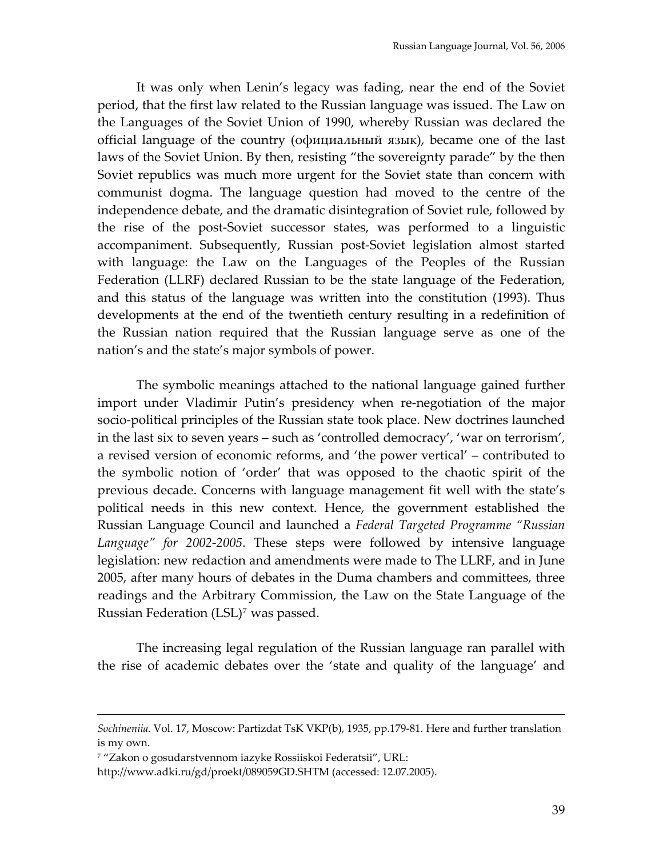It was only when Lenin's legacy was fading, near the end of the Soviet period, that the first law related to the Russian language was issued. The Law on the Languages of the Soviet Union of 1990, whereby Russian was declared the official language of the country (официальный язык), became one of the last laws of the Soviet Union. By then, resisting "the sovereignty parade" by the then Soviet republics was much more urgent for the Soviet state than concern with communist dogma. The language question had moved to the centre of the independence debate, and the dramatic disintegration of Soviet rule, followed by the rise of the post‐Soviet successor states, was performed to a linguistic accompaniment. Subsequently, Russian post‐Soviet legislation almost started with language: the Law on the Languages of the Peoples of the Russian Federation (LLRF) declared Russian to be the state language of the Federation, and this status of the language was written into the constitution (1993). Thus developments at the end of the twentieth century resulting in a redefinition of the Russian nation required that the Russian language serve as one of the nation's and the state's major symbols of power.

The symbolic meanings attached to the national language gained further import under Vladimir Putin's presidency when re-negotiation of the major socio-political principles of the Russian state took place. New doctrines launched in the last six to seven years – such as 'controlled democracy', 'war on terrorism', a revised version of economic reforms, and 'the power vertical' – contributed to the symbolic notion of 'order' that was opposed to the chaotic spirit of the previous decade. Concerns with language management fit well with the state's political needs in this new context. Hence, the government established the Russian Language Council and launched a *Federal Targeted Programme "Russian Language" for 2002‐2005*. These steps were followed by intensive language legislation: new redaction and amendments were made to The LLRF, and in June 2005, after many hours of debates in the Duma chambers and committees, three readings and the Arbitrary Commission, the Law on the State Language of the Russian Federation (LSL)<sup>[7](#page-3-0)</sup> was passed.

The increasing legal regulation of the Russian language ran parallel with the rise of academic debates over the 'state and quality of the language' and

*Sochineniia*. Vol. 17, Moscow: Partizdat TsK VKP(b), 1935, pp.179‐81. Here and further translation is my own.

<span id="page-3-0"></span><sup>7</sup> "Zakon o gosudarstvennom iazyke Rossiiskoi Federatsii", URL:

http://www.adki.ru/gd/proekt/089059GD.SHTM (accessed: 12.07.2005).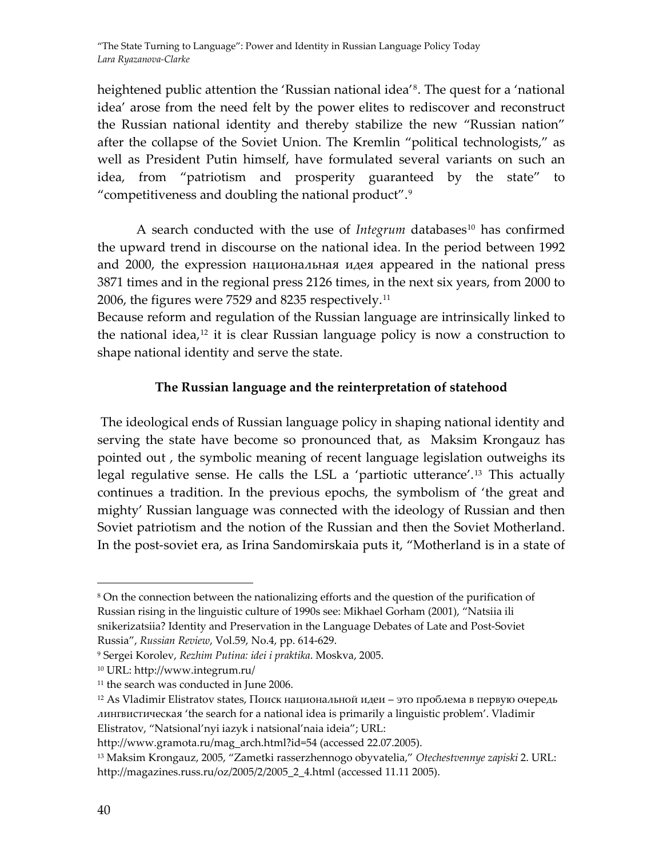heightened public attention the 'Russian national idea'<sup>[8](#page-4-0)</sup>. The quest for a 'national idea' arose from the need felt by the power elites to rediscover and reconstruct the Russian national identity and thereby stabilize the new "Russian nation" after the collapse of the Soviet Union. The Kremlin "political technologists," as well as President Putin himself, have formulated several variants on such an idea, from "patriotism and prosperity guaranteed by the state" to "competitiveness and doubling the national product".[9](#page-4-1)

A search conducted with the use of *Integrum* databases<sup>[10](#page-4-2)</sup> has confirmed the upward trend in discourse on the national idea. In the period between 1992 and 2000, the expression национальная идея appeared in the national press 3871 times and in the regional press 2126 times, in the next six years, from 2000 to 2006, the figures were 7529 and 8235 respectively.[11](#page-4-3)

Because reform and regulation of the Russian language are intrinsically linked to the national idea, $12$  it is clear Russian language policy is now a construction to shape national identity and serve the state.

## **The Russian language and the reinterpretation of statehood**

The ideological ends of Russian language policy in shaping national identity and serving the state have become so pronounced that, as Maksim Krongauz has pointed out , the symbolic meaning of recent language legislation outweighs its legal regulative sense. He calls the LSL a 'partiotic utterance'.[13](#page-4-5) This actually continues a tradition. In the previous epochs, the symbolism of 'the great and mighty' Russian language was connected with the ideology of Russian and then Soviet patriotism and the notion of the Russian and then the Soviet Motherland. In the post-soviet era, as Irina Sandomirskaia puts it, "Motherland is in a state of

<span id="page-4-0"></span> $\overline{a}$ <sup>8</sup> On the connection between the nationalizing efforts and the question of the purification of Russian rising in the linguistic culture of 1990s see: Mikhael Gorham (2001), "Natsiia ili snikerizatsiia? Identity and Preservation in the Language Debates of Late and Post‐Soviet Russia", *Russian Review*, Vol.59, No.4, pp. 614‐629.

<span id="page-4-1"></span><sup>9</sup> Sergei Korolev, *Rezhim Putina: idei i praktika*. Moskva, 2005.

<span id="page-4-2"></span><sup>10</sup> URL: http://www.integrum.ru/

<span id="page-4-3"></span><sup>&</sup>lt;sup>11</sup> the search was conducted in June 2006.

<span id="page-4-4"></span> $12$  As Vladimir Elistratov states, Поиск национальной идеи – это проблема в первую очередь лингвистическая 'the search for a national idea is primarily a linguistic problem'. Vladimir Elistratov, "Natsional'nyi iazyk i natsional'naia ideia"; URL:

http://www.gramota.ru/mag\_arch.html?id=54 (accessed 22.07.2005).

<span id="page-4-5"></span><sup>13</sup> Maksim Krongauz, 2005, "Zametki rasserzhennogo obyvatelia," *Otechestvennye zapiski* 2. URL: http://magazines.russ.ru/oz/2005/2/2005\_2\_4.html (accessed 11.11 2005).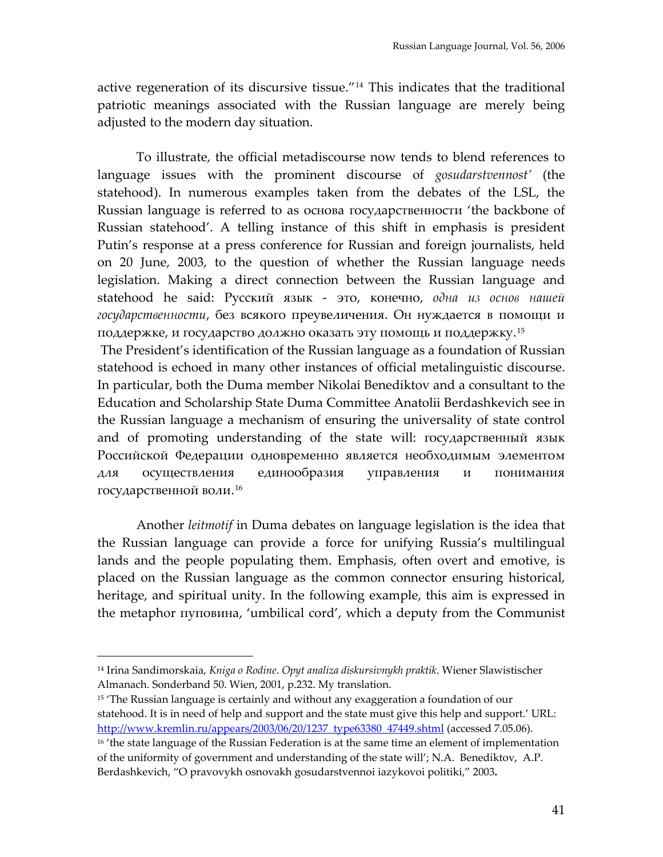active regeneration of its discursive tissue."[14](#page-5-0) This indicates that the traditional patriotic meanings associated with the Russian language are merely being adjusted to the modern day situation.

To illustrate, the official metadiscourse now tends to blend references to language issues with the prominent discourse of *gosudarstvennost'* (the statehood). In numerous examples taken from the debates of the LSL, the Russian language is referred to as основа государственности 'the backbone of Russian statehood'. A telling instance of this shift in emphasis is president Putin's response at a press conference for Russian and foreign journalists, held on 20 June, 2003, to the question of whether the Russian language needs legislation. Making a direct connection between the Russian language and statehood he said: Русский язык ‐ это, конечно, *одна из основ нашей государственности*, без всякого преувеличения. Он нуждается в помощи и поддержке, и государство должно оказать эту помощь и поддержку. [15](#page-5-1)

The President's identification of the Russian language as a foundation of Russian statehood is echoed in many other instances of official metalinguistic discourse. In particular, both the Duma member Nikolai Benediktov and a consultant to the Education and Scholarship State Duma Committee Anatolii Berdashkevich see in the Russian language a mechanism of ensuring the universality of state control and of promoting understanding of the state will: государственный язык Российской Федерации одновременно является необходимым элементом для осуществления единообразия управления и понимания государственной воли.[16](#page-5-2)

Another *leitmotif* in Duma debates on language legislation is the idea that the Russian language can provide a force for unifying Russia's multilingual lands and the people populating them. Emphasis, often overt and emotive, is placed on the Russian language as the common connector ensuring historical, heritage, and spiritual unity. In the following example, this aim is expressed in the metaphor пуповина, 'umbilical cord', which a deputy from the Communist

<span id="page-5-0"></span><sup>14</sup> Irina Sandimorskaia, *Kniga o Rodine*. *Opyt analiza diskursivnykh praktik*. Wiener Slawistischer Almanach. Sonderband 50. Wien, 2001, p.232. My translation.

<span id="page-5-1"></span><sup>&</sup>lt;sup>15</sup> The Russian language is certainly and without any exaggeration a foundation of our statehood. It is in need of help and support and the state must give this help and support.' URL: [http://www.kremlin.ru/appears/2003/06/20/1237\\_type63380\\_47449.shtml](http://www.kremlin.ru/appears/2003/06/20/1237_type63380_47449.shtml) (accessed 7.05.06). <sup>16</sup> 'the state language of the Russian Federation is at the same time an element of implementation of the uniformity of government and understanding of the state will'; N.A. Benediktov, A.P.

<span id="page-5-2"></span>Berdashkevich, "O pravovykh osnovakh gosudarstvennoi iazykovoi politiki," 2003**.**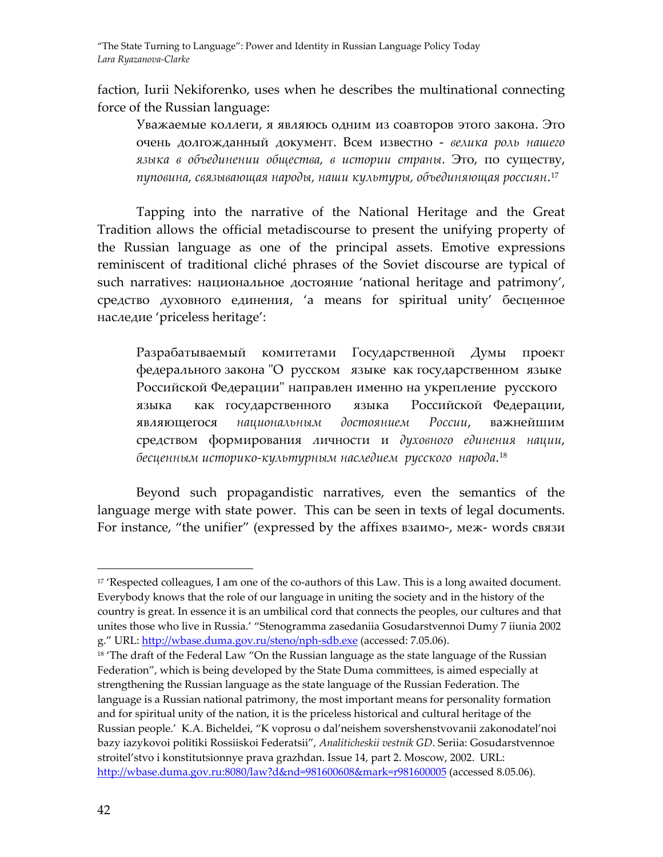faction, Iurii Nekifоrenko, uses when he describes the multinational connecting force of the Russian language:

Уважаемые коллеги, я являюсь одним из соавторов этого закона. Это очень долгожданный документ. Всем известно ‐ *велика роль нашего языка в объединении общества, в истории страны*. Это, по существу, *пуповина, связывающая народы, наши культуры, объединяющая россиян*.[17](#page-6-0)

Tapping into the narrative of the National Heritage and the Great Tradition allows the official metadiscourse to present the unifying property of the Russian language as one of the principal assets. Emotive expressions reminiscent of traditional cliché phrases of the Soviet discourse are typical of such narratives: национальное достояние 'national heritage and patrimony', средство духовного единения, 'a means for spiritual unity' бесценное наследие 'priceless heritage':

Разрабатываемый комитетами Государственной Думы проект федерального закона ʺО русском языке как государственном языке Российской Федерации" направлен именно на укрепление русского языка как государственного языка Российской Федерации, являющегося *национальным достоянием России*, важнейшим средством формирования личности и *духовного единения нации*, *бесценным историко‐культурным наследием русского народа*. [18](#page-6-1)

Beyond such propagandistic narratives, even the semantics of the language merge with state power. This can be seen in texts of legal documents. For instance, "the unifier" (expressed by the аffixes взаимо‐, меж‐ words связи

<span id="page-6-0"></span><sup>&</sup>lt;sup>17</sup> 'Respected colleagues, I am one of the co-authors of this Law. This is a long awaited document. Everybody knows that the role of our language in uniting the society and in the history of the country is great. In essence it is an umbilical cord that connects the peoples, our cultures and that unites those who live in Russia.' "Stenogramma zasedaniia Gosudarstvennoi Dumy 7 iiunia 2002 g." URL: [http://wbase.duma.gov.ru/steno/nph](http://wbase.duma.gov.ru/steno/nph-sdb.exe)-sdb.exe (accessed: 7.05.06).

<span id="page-6-1"></span> $18$  'The draft of the Federal Law "On the Russian language as the state language of the Russian Federation", which is being developed by the State Duma committees, is aimed especially at strengthening the Russian language as the state language of the Russian Federation. The language is a Russian national patrimony, the most important means for personality formation and for spiritual unity of the nation, it is the priceless historical and cultural heritage of the Russian people.' K.A. Bicheldei, "K voprosu o dal'neishem sovershenstvovanii zakonodatel'noi bazy iazykovoi politiki Rossiiskoi Federatsii", *Analiticheskii vestnik GD*. Seriia: Gosudarstvennoe stroitel'stvo i konstitutsionnye prava grazhdan. Issue 14, part 2. Moscow, 2002. URL: <http://wbase.duma.gov.ru:8080/law?d&nd=981600608&mark=r981600005> (accessed 8.05.06).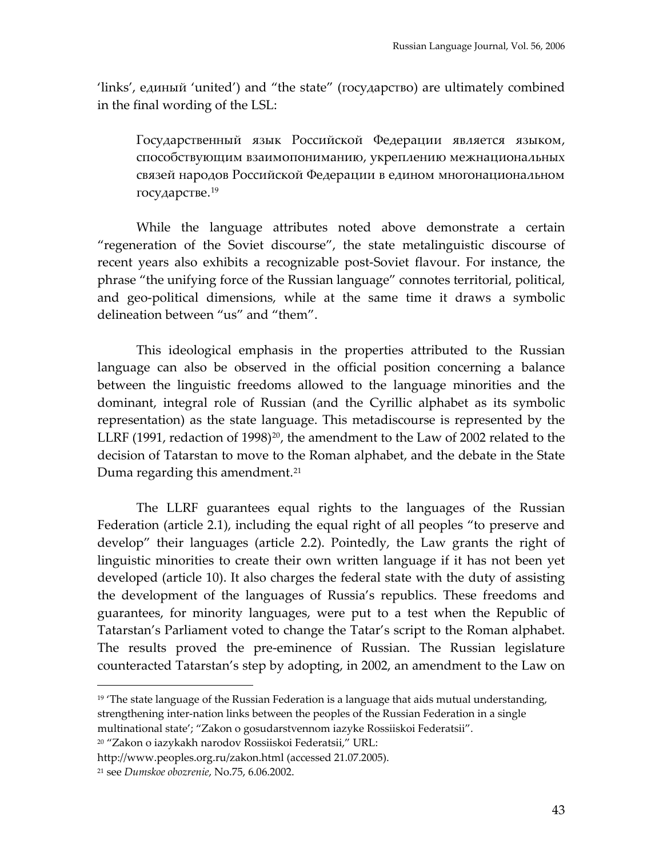'links', единый 'united') and "the state" (государство) are ultimately combined in the final wording of the LSL:

Государственный язык Российской Федерации является языком, способствующим взаимопониманию, укреплению межнациональных связей народов Российской Федерации в едином многонациональном государстве. [19](#page-7-0)

While the language attributes noted above demonstrate a certain "regeneration of the Soviet discourse", the state metalinguistic discourse of recent years also exhibits a recognizable post‐Soviet flavour. For instance, the phrase "the unifying force of the Russian language" connotes territorial, political, and geo‐political dimensions, while at the same time it draws a symbolic delineation between "us" and "them".

This ideological emphasis in the properties attributed to the Russian language can also be observed in the official position concerning a balance between the linguistic freedoms allowed to the language minorities and the dominant, integral role of Russian (and the Cyrillic alphabet as its symbolic representation) as the state language. This metadiscourse is represented by the LLRF (1991, redaction of 1998) $^{20}$  $^{20}$  $^{20}$ , the amendment to the Law of 2002 related to the decision of Tatarstan to move to the Roman alphabet, and the debate in the State Duma regarding this amendment.<sup>[21](#page-7-2)</sup>

The LLRF guarantees equal rights to the languages of the Russian Federation (article 2.1), including the equal right of all peoples "to preserve and develop" their languages (article 2.2). Pointedly, the Law grants the right of linguistic minorities to create their own written language if it has not been yet developed (article 10). It also charges the federal state with the duty of assisting the development of the languages of Russia's republics. These freedoms and guarantees, for minority languages, were put to a test when the Republic of Tatarstan's Parliament voted to change the Tatar's script to the Roman alphabet. The results proved the pre-eminence of Russian. The Russian legislature counteracted Tatarstan's step by adopting, in 2002, an amendment to the Law on

<span id="page-7-0"></span> $19$  The state language of the Russian Federation is a language that aids mutual understanding, strengthening inter-nation links between the peoples of the Russian Federation in a single

multinational state'; "Zakon o gosudarstvennom iazyke Rossiiskoi Federatsii".

<span id="page-7-1"></span><sup>20</sup> "Zakon o iazykakh narodov Rossiiskoi Federatsii," URL:

http://www.peoples.org.ru/zakon.html (accessed 21.07.2005).

<span id="page-7-2"></span><sup>21</sup> see *Dumskoe obozrenie*, No.75, 6.06.2002.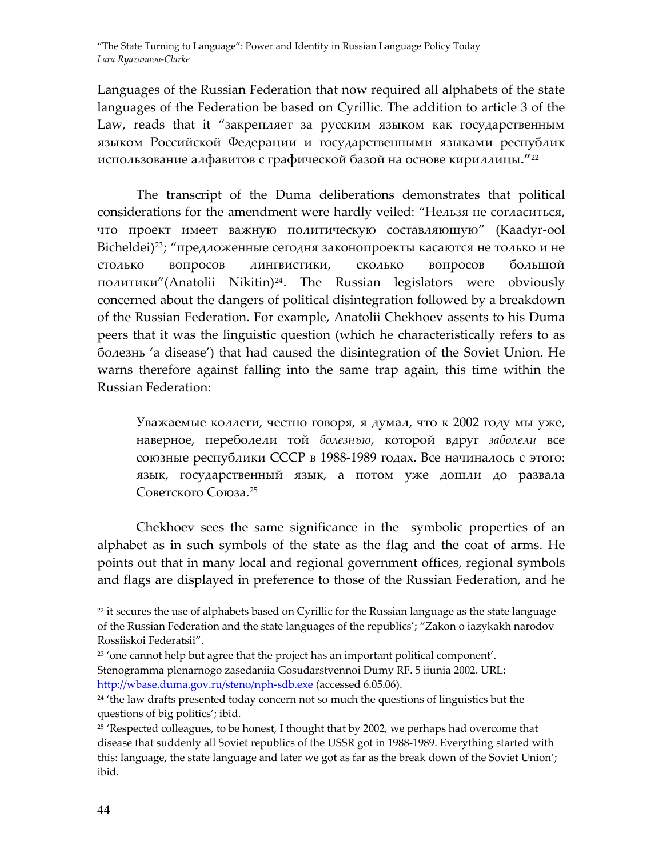Languages of the Russian Federation that now required all alphabets of the state languages of the Federation be based on Cyrillic. The addition to article 3 of the Law, reads that it "закрепляет за русским языком как государственным языком Российской Федерации и государственными языками республик использование алфавитов с графической базой на основе кириллицы**."**[22](#page-8-0)

The transcript of the Duma deliberations demonstrates that political considerations for the amendment were hardly veiled: "Нельзя не согласиться, что проект имеет важную политическую составляющую" (Kaadyr‐ool Bicheldei)<sup>[23](#page-8-1)</sup>; "предложенные сегодня законопроекты касаются не только и не столько вопросов лингвистики, сколько вопросов большой политики"(Anatolii Nikitin)[24](#page-8-2). The Russian legislators were obviously concerned about the dangers of political disintegration followed by a breakdown of the Russian Federation. For example, Anatolii Chekhoev assents to his Duma peers that it was the linguistic question (which he characteristically refers to as болезнь 'a disease') that had caused the disintegration of the Soviet Union. He warns therefore against falling into the same trap again, this time within the Russian Federation:

Уважаемые коллеги, честно говоря, я думал, что к 2002 году мы уже, наверное, переболели той *болезнью*, которой вдруг *заболели* все союзные республики СССР в 1988‐1989 годах. Все начиналось с этого: язык, государственный язык, а потом уже дошли до развала Советского Союза. [25](#page-8-3)

Chekhoev sees the same significance in the symbolic properties of an alphabet as in such symbols of the state as the flag and the coat of arms. He points out that in many local and regional government offices, regional symbols and flags are displayed in preference to those of the Russian Federation, and he

<span id="page-8-0"></span> $22$  it secures the use of alphabets based on Cyrillic for the Russian language as the state language of the Russian Federation and the state languages of the republics'; "Zakon o iazykakh narodov Rossiiskoi Federatsii".

<span id="page-8-1"></span><sup>&</sup>lt;sup>23</sup> 'one cannot help but agree that the project has an important political component'. Stenogramma plenarnogo zasedaniia Gosudarstvennoi Dumy RF. 5 iiunia 2002. URL: [http://wbase.duma.gov.ru/steno/nph](http://wbase.duma.gov.ru/steno/nph-sdb.exe)-sdb.exe (accessed 6.05.06).

<span id="page-8-2"></span><sup>&</sup>lt;sup>24</sup> 'the law drafts presented today concern not so much the questions of linguistics but the questions of big politics'; ibid.

<span id="page-8-3"></span> $25$  'Respected colleagues, to be honest, I thought that by 2002, we perhaps had overcome that disease that suddenly all Soviet republics of the USSR got in 1988‐1989. Everything started with this: language, the state language and later we got as far as the break down of the Soviet Union'; ibid.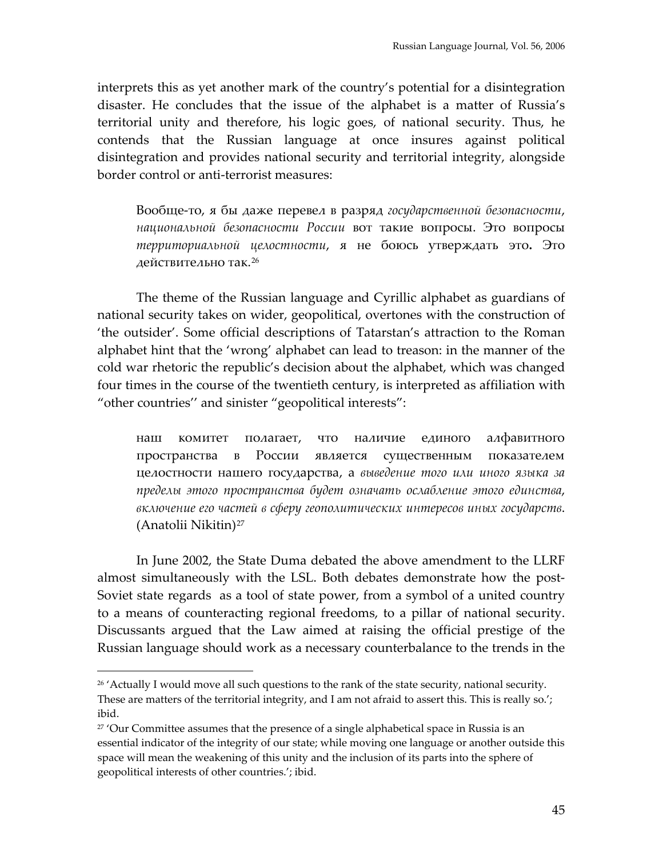interprets this as yet another mark of the country's potential for a disintegration disaster. He concludes that the issue of the alphabet is a matter of Russia's territorial unity and therefore, his logic goes, of national security. Thus, he contends that the Russian language at once insures against political disintegration and provides national security and territorial integrity, alongside border control or anti-terrorist measures:

Вообще‐то, я бы даже перевел в разряд *государственной безопасности*, *национальной безопасности России* вот такие вопросы. Это вопросы *территориальной целостности*, я не боюсь утверждать это**.** Это действительно так.<sup>[26](#page-9-0)</sup>

The theme of the Russian language and Cyrillic alphabet as guardians of national security takes on wider, geopolitical, overtones with the construction of 'the outsider'. Some official descriptions of Tatarstan's attraction to the Roman alphabet hint that the 'wrong' alphabet can lead to treason: in the manner of the cold war rhetoric the republic's decision about the alphabet, which was changed four times in the course of the twentieth century, is interpreted as affiliation with "other countries'' and sinister "geopolitical interests":

наш комитет полагает, что наличие единого алфавитного пространства в России является существенным показателем целостности нашего государства, а *выведение того или иного языка за пределы этого пространства будет означать ослабление этого единства*, *включение его частей в сферу геополитических интересов иных государств*. (Anatolii Nikitin)[27](#page-9-1)

In June 2002, the State Duma debated the above amendment to the LLRF almost simultaneously with the LSL. Both debates demonstrate how the post-Soviet state regards as a tool of state power, from a symbol of a united country to a means of counteracting regional freedoms, to a pillar of national security. Discussants argued that the Law aimed at raising the official prestige of the Russian language should work as a necessary counterbalance to the trends in the

<span id="page-9-0"></span> $26$  'Actually I would move all such questions to the rank of the state security, national security. These are matters of the territorial integrity, and I am not afraid to assert this. This is really so.'; ibid.

<span id="page-9-1"></span> $27'$  Our Committee assumes that the presence of a single alphabetical space in Russia is an essential indicator of the integrity of our state; while moving one language or another outside this space will mean the weakening of this unity and the inclusion of its parts into the sphere of geopolitical interests of other countries.'; ibid.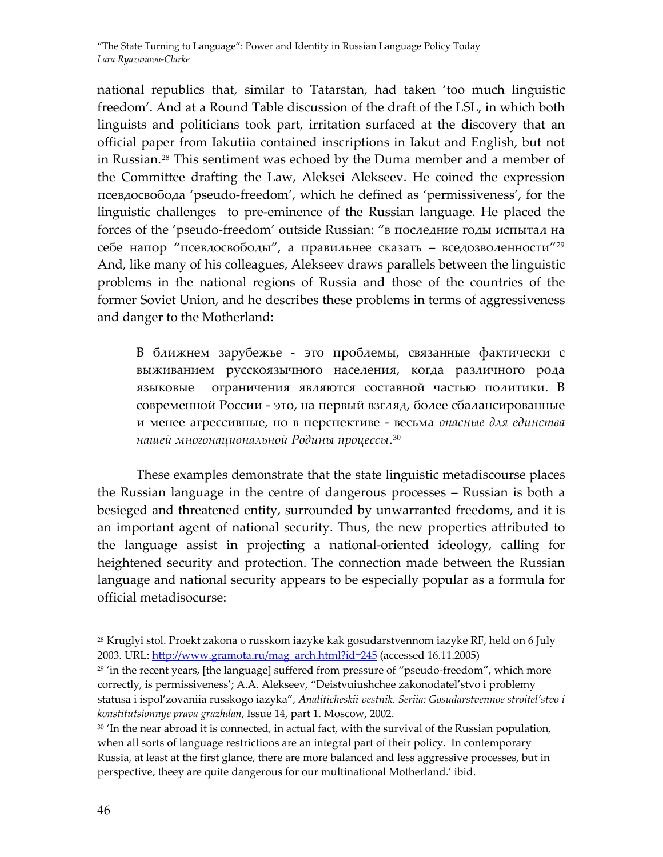national republics that, similar to Tatarstan, had taken 'too much linguistic freedom'. And at a Round Table discussion of the draft of the LSL, in which both linguists and politicians took part, irritation surfaced at the discovery that an official paper from Iakutiia contained inscriptions in Iakut and English, but not in Russian.[28](#page-10-0) This sentiment was echoed by the Duma member and a member of the Committee drafting the Law, Aleksei Alekseev. He coined the expression псевдосвобода 'pseudo‐freedom', which he defined as 'permissiveness', for the linguistic challenges to pre-eminence of the Russian language. He placed the forces of the 'pseudo‐freedom' outside Russian: "в последние годы испытал на себе напор "псевдосвободы", а правильнее сказать – вседозволенности"[29](#page-10-1) And, like many of his colleagues, Alekseev draws parallels between the linguistic problems in the national regions of Russia and those of the countries of the former Soviet Union, and he describes these problems in terms of aggressiveness and danger to the Motherland:

В ближнем зарубежье ‐ это проблемы, связанные фактически с выживанием русскоязычного населения, когда различного рода языковые ограничения являются составной частью политики. В современной России ‐ это, на первый взгляд, более сбалансированные и менее агрессивные, но в перспективе ‐ весьма *опасные для единства нашей многонациональной Родины процессы*.[30](#page-10-2)

These examples demonstrate that the state linguistic metadiscourse places the Russian language in the centre of dangerous processes – Russian is both a besieged and threatened entity, surrounded by unwarranted freedoms, and it is an important agent of national security. Thus, the new properties attributed to the language assist in projecting a national‐oriented ideology, calling for heightened security and protection. The connection made between the Russian language and national security appears to be especially popular as a formula for official metadisocurse:

<span id="page-10-0"></span><sup>&</sup>lt;sup>28</sup> Kruglyi stol. Proekt zakona o russkom iazyke kak gosudarstvennom iazyke RF, held on 6 July 2003. URL: [http://www.gramota.ru/mag\\_arch.html?id=245](http://www.gramota.ru/mag_arch.html?id=245) (accessed 16.11.2005)

<span id="page-10-1"></span><sup>&</sup>lt;sup>29</sup> 'in the recent years, [the language] suffered from pressure of "pseudo-freedom", which more correctly, is permissiveness'; A.A. Alekseev, "Deistvuiushchee zakonodatel'stvo i problemy statusa i ispol'zovaniia russkogo iazyka", *Analiticheskii vestnik. Seriia: Gosudarstvennoe stroitel'stvo i konstitutsionnye prava grazhdan*, Issue 14, part 1. Moscow, 2002.

<span id="page-10-2"></span> $30$  'In the near abroad it is connected, in actual fact, with the survival of the Russian population, when all sorts of language restrictions are an integral part of their policy. In contemporary Russia, at least at the first glance, there are more balanced and less aggressive processes, but in perspective, theey are quite dangerous for our multinational Motherland.' ibid.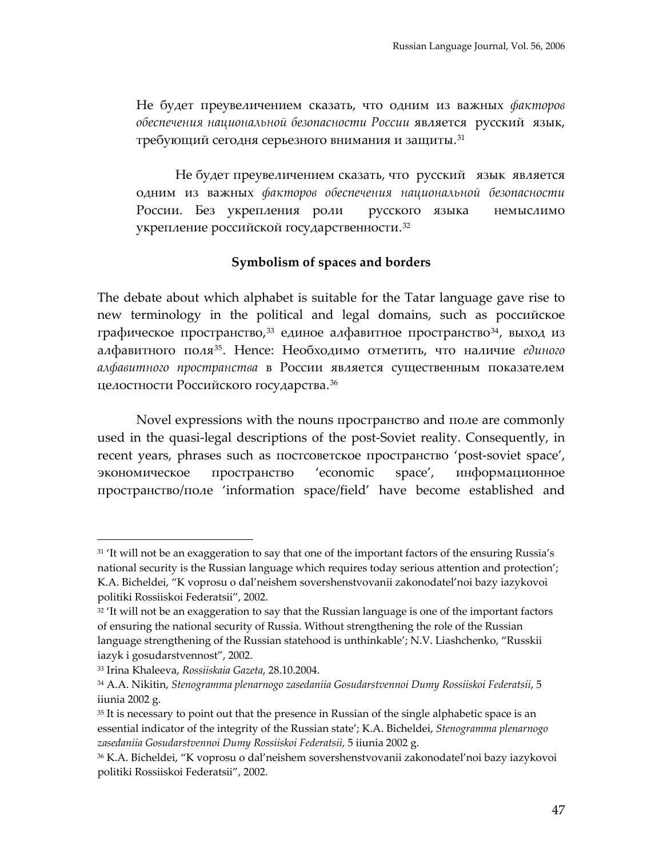Не будет преувеличением сказать, что одним из важных *факторов обеспечения национальной безопасности России* является русский язык, требующий сегодня серьезного внимания и защиты.[31](#page-11-0)

Не будет преувеличением сказать, что русский язык является одним из важных *факторов обеспечения национальной безопасности* России. Без укрепления роли русского языка немыслимо укрепление российской государственности.[32](#page-11-1)

#### **Symbolism of spaces and borders**

The debate about which alphabet is suitable for the Tatar language gave rise to new terminology in the political and legal domains, such as российское графическое пространство,<sup>[33](#page-11-2)</sup> единое алфавитное пространство<sup>[34](#page-11-3)</sup>, выход из алфавитного поля[35](#page-11-4). Hence: Необходимо отметить, что наличие *единого алфавитного пространства* в России является существенным показателем целостности Российского государства.[36](#page-11-5)

Novel expressions with the nouns пространство and поле are commonly used in the quasi-legal descriptions of the post-Soviet reality. Consequently, in recent years, phrases such as постсоветское пространство 'post‐soviet space', экономическое пространство 'economic space', информационное пространство/поле 'information space/field' have become established and

<span id="page-11-0"></span><sup>&</sup>lt;sup>31</sup> 'It will not be an exaggeration to say that one of the important factors of the ensuring Russia's national security is the Russian language which requires today serious attention and protection'; K.A. Bicheldei, "K voprosu o dal'neishem sovershenstvovanii zakonodatel'noi bazy iazykovoi politiki Rossiiskoi Federatsii", 2002.

<span id="page-11-1"></span> $32$  'It will not be an exaggeration to say that the Russian language is one of the important factors of ensuring the national security of Russia. Without strengthening the role of the Russian language strengthening of the Russian statehood is unthinkable'; N.V. Liashchenko, "Russkii iazyk i gosudarstvennost", 2002.

<span id="page-11-2"></span><sup>33</sup> Irina Khaleeva, *Rossiiskaia Gazeta*, 28.10.2004.

<span id="page-11-3"></span><sup>34</sup> A.A. Nikitin, *Stenogramma plenarnogo zasedaniia Gosudarstvennoi Dumy Rossiiskoi Federatsii*, 5 iiunia 2002 g.

<span id="page-11-4"></span><sup>&</sup>lt;sup>35</sup> It is necessary to point out that the presence in Russian of the single alphabetic space is an essential indicator of the integrity of the Russian state'; K.A. Bicheldei, *Stenogramma plenarnogo zasedaniia Gosudarstvennoi Dumy Rossiiskoi Federatsii*, 5 iiunia 2002 g.

<span id="page-11-5"></span><sup>36</sup> K.A. Bicheldei, "K voprosu o dal'neishem sovershenstvovanii zakonodatel'noi bazy iazykovoi politiki Rossiiskoi Federatsii", 2002.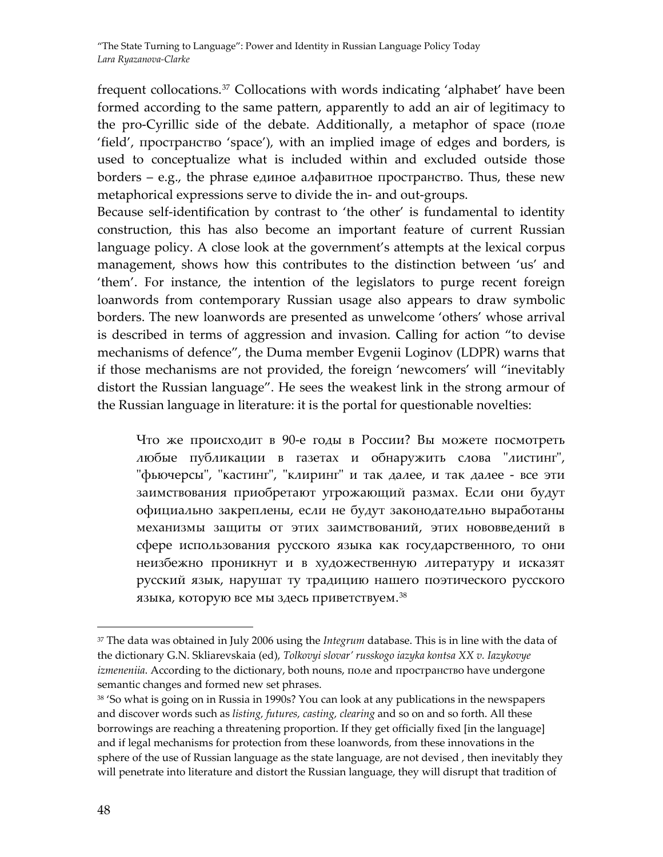frequent collocations.<sup>[37](#page-12-0)</sup> Collocations with words indicating 'alphabet' have been formed according to the same pattern, apparently to add an air of legitimacy to the pro‐Cyrillic side of the debate. Additionally, a metaphor of space (поле 'field', пространство 'space'), with an implied image of edges and borders, is used to conceptualize what is included within and excluded outside those borders – e.g., the phrase единое алфавитное пространство. Thus, these new metaphorical expressions serve to divide the in‐ and out‐groups.

Because self-identification by contrast to 'the other' is fundamental to identity construction, this has also become an important feature of current Russian language policy. A close look at the government's attempts at the lexical corpus management, shows how this contributes to the distinction between 'us' and 'them'. For instance, the intention of the legislators to purge recent foreign loanwords from contemporary Russian usage also appears to draw symbolic borders. The new loanwords are presented as unwelcome 'others' whose arrival is described in terms of aggression and invasion. Calling for action "to devise mechanisms of defence", the Duma member Evgenii Loginov (LDPR) warns that if those mechanisms are not provided, the foreign 'newcomers' will "inevitably distort the Russian language". He sees the weakest link in the strong armour of the Russian language in literature: it is the portal for questionable novelties:

Что же происходит в 90‐е годы в России? Вы можете посмотреть любые публикации в газетах и обнаружить слова "листинг", "фьючерсы", "кастинг", "клиринг" и так далее, и так далее - все эти заимствования приобретают угрожающий размах. Если они будут официально закреплены, если не будут законодательно выработаны механизмы защиты от этих заимствований, этих нововведений в сфере использования русского языка как государственного, то они неизбежно проникнут и в художественную литературу и исказят русский язык, нарушат ту традицию нашего поэтического русского языка, которую все мы здесь приветствуем. [38](#page-12-1)

<span id="page-12-0"></span><sup>37</sup> The data was obtained in July 2006 using the *Integrum* database. This is in line with the data of the dictionary G.N. Skliarevskaia (ed), *Tolkovyi slovar' russkogo iazyka kontsa XX v. Iazykovye izmeneniia*. According to the dictionary, both nouns, поле and пространство have undergone semantic changes and formed new set phrases.

<span id="page-12-1"></span><sup>38</sup> 'So what is going on in Russia in 1990s? You can look at any publications in the newspapers and discover words such as *listing, futures, casting, clearing* and so on and so forth. All these borrowings are reaching a threatening proportion. If they get officially fixed [in the language] and if legal mechanisms for protection from these loanwords, from these innovations in the sphere of the use of Russian language as the state language, are not devised , then inevitably they will penetrate into literature and distort the Russian language, they will disrupt that tradition of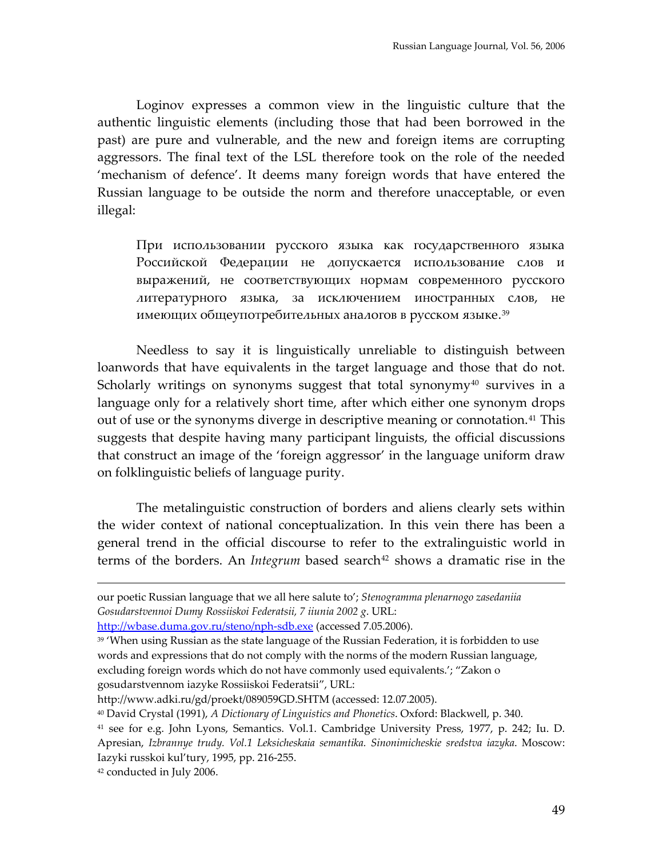Loginov expresses a common view in the linguistic culture that the authentic linguistic elements (including those that had been borrowed in the past) are pure and vulnerable, and the new and foreign items are corrupting aggressors. The final text of the LSL therefore took on the role of the needed 'mechanism of defence'. It deems many foreign words that have entered the Russian language to be outside the norm and therefore unacceptable, or even illegal:

При использовании русского языка как государственного языка Российской Федерации не допускается использование слов и выражений, не соответствующих нормам современного русского литературного языка, за исключением иностранных слов, не имеющих общеупотребительных аналогов в русском языке.[39](#page-13-0)

Needless to say it is linguistically unreliable to distinguish between loanwords that have equivalents in the target language and those that do not. Scholarly writings on synonyms suggest that total synonymy $40$  survives in a language only for a relatively short time, after which either one synonym drops out of use or the synonyms diverge in descriptive meaning or connotation.<sup>[41](#page-13-2)</sup> This suggests that despite having many participant linguists, the official discussions that construct an image of the 'foreign aggressor' in the language uniform draw on folklinguistic beliefs of language purity.

The metalinguistic construction of borders and aliens clearly sets within the wider context of national conceptualization. In this vein there has been a general trend in the official discourse to refer to the extralinguistic world in terms of the borders. An *Integrum* based search<sup>[42](#page-13-3)</sup> shows a dramatic rise in the

our poetic Russian language that we all here salute to'; *Stenogramma plenarnogo zasedaniia Gosudarstvennoi Dumy Rossiiskoi Federatsii, 7 iiunia 2002 g*. URL:

[http://wbase.duma.gov.ru/steno/nph](http://wbase.duma.gov.ru/steno/nph-sdb.exe)-sdb.exe (accessed 7.05.2006).

<span id="page-13-0"></span> $39$  'When using Russian as the state language of the Russian Federation, it is forbidden to use words and expressions that do not comply with the norms of the modern Russian language, excluding foreign words which do not have commonly used equivalents.'; "Zakon o gosudarstvennom iazyke Rossiiskoi Federatsii", URL:

http://www.adki.ru/gd/proekt/089059GD.SHTM (accessed: 12.07.2005).

<span id="page-13-1"></span><sup>40</sup> David Crystal (1991), *A Dictionary of Linguistics and Phonetics*. Oxford: Blackwell, p. 340.

<span id="page-13-2"></span><sup>41</sup> see for e.g. John Lyons, Semantics. Vol.1. Cambridge University Press, 1977, p. 242; Iu. D. Apresian, *Izbrannye trudy. Vol.1 Leksicheskaia semantika. Sinonimicheskie sredstva iazyka*. Moscow: Iazyki russkoi kul'tury, 1995, pp. 216‐255.

<span id="page-13-3"></span><sup>42</sup> conducted in July 2006.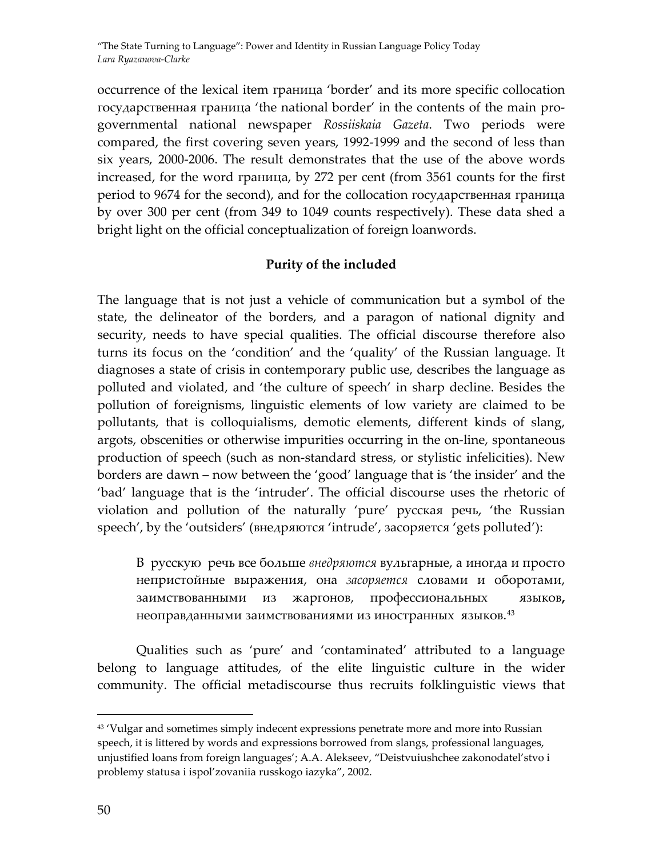occurrence of the lexical item граница 'border' and its more specific collocation государственная граница 'the national border' in the contents of the main pro‐ governmental national newspaper *Rossiiskaia Gazeta*. Two periods were compared, the first covering seven years, 1992‐1999 and the second of less than six years, 2000‐2006. The result demonstrates that the use of the above words increased, for the word граница, by 272 per cent (from 3561 counts for the first period to 9674 for the second), and for the collocation государственная граница by over 300 per cent (from 349 to 1049 counts respectively). These data shed a bright light on the official conceptualization of foreign loanwords.

### **Purity of the included**

The language that is not just a vehicle of communication but a symbol of the state, the delineator of the borders, and a paragon of national dignity and security, needs to have special qualities. The official discourse therefore also turns its focus on the 'condition' and the 'quality' of the Russian language. It diagnoses a state of crisis in contemporary public use, describes the language as polluted and violated, and 'the culture of speech' in sharp decline. Besides the pollution of foreignisms, linguistic elements of low variety are claimed to be pollutants, that is colloquialisms, demotic elements, different kinds of slang, argots, obscenities or otherwise impurities occurring in the on‐line, spontaneous production of speech (such as non‐standard stress, or stylistic infelicities). New borders are dawn – now between the 'good' language that is 'the insider' and the 'bad' language that is the 'intruder'. The official discourse uses the rhetoric of violation and pollution of the naturally 'pure' русская речь, 'the Russian speech', by the 'outsiders' (внедряются 'intrude', засоряется 'gets polluted'):

В русскую речь все больше *внедряются* вульгарные, а иногда и просто непристойные выражения, она *засоряется* словами и оборотами, заимствованными из жаргонов, профессиональных языков**,** неоправданными заимствованиями из иностранных языков.<sup>[43](#page-14-0)</sup>

Qualities such as 'pure' and 'contaminated' attributed to a language belong to language attitudes, of the elite linguistic culture in the wider community. The official metadiscourse thus recruits folklinguistic views that

<span id="page-14-0"></span><sup>43</sup> 'Vulgar and sometimes simply indecent expressions penetrate more and more into Russian speech, it is littered by words and expressions borrowed from slangs, professional languages, unjustified loans from foreign languages'; A.A. Alekseev, "Deistvuiushchee zakonodatel'stvo i problemy statusa i ispol'zovaniia russkogo iazyka", 2002.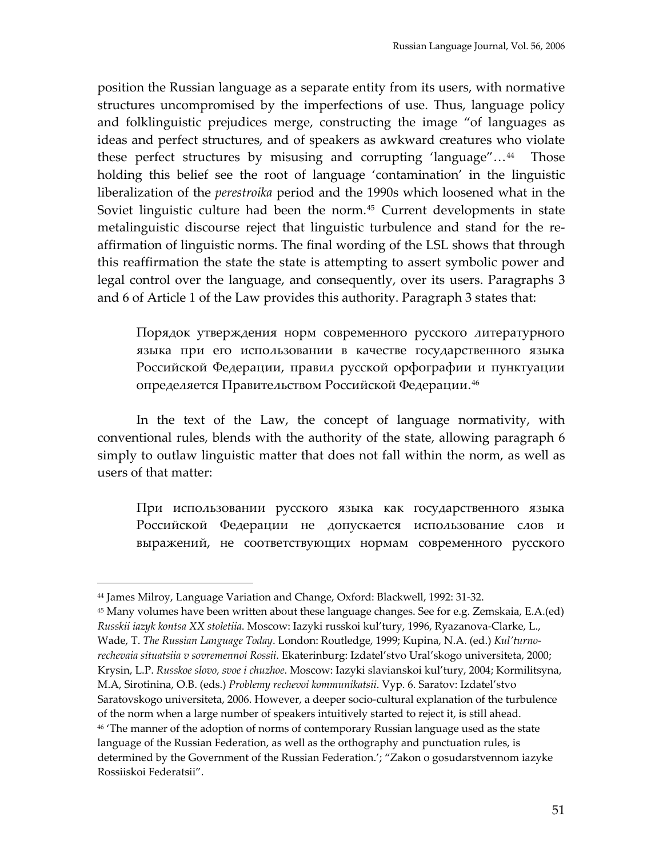position the Russian language as a separate entity from its users, with normative structures uncompromised by the imperfections of use. Thus, language policy and folklinguistic prejudices merge, constructing the image "of languages as ideas and perfect structures, and of speakers as awkward creatures who violate these perfect structures by misusing and corrupting 'language"…[44](#page-15-0) Those holding this belief see the root of language 'contamination' in the linguistic liberalization of the *perestroika* period and the 1990s which loosened what in the Soviet linguistic culture had been the norm.<sup>[45](#page-15-1)</sup> Current developments in state metalinguistic discourse reject that linguistic turbulence and stand for the reaffirmation of linguistic norms. The final wording of the LSL shows that through this reaffirmation the state the state is attempting to assert symbolic power and legal control over the language, and consequently, over its users. Paragraphs 3 and 6 of Article 1 of the Law provides this authority. Paragraph 3 states that:

Порядок утверждения норм современного русского литературного языка при его использовании в качестве государственного языка Российской Федерации, правил русской орфографии и пунктуации определяется Правительством Российской Федерации.[46](#page-15-2)

In the text of the Law, the concept of language normativity, with conventional rules, blends with the authority of the state, allowing paragraph 6 simply to outlaw linguistic matter that does not fall within the norm, as well as users of that matter:

При использовании русского языка как государственного языка Российской Федерации не допускается использование слов и выражений, не соответствующих нормам современного русского

 $\overline{a}$ 

<span id="page-15-2"></span><span id="page-15-1"></span><sup>45</sup> Many volumes have been written about these language changes. See for e.g. Zemskaia, E.A.(ed) *Russkii iazyk kontsa XX stoletiia*. Moscow: Iazyki russkoi kul'tury, 1996, Ryazanova‐Clarke, L., Wade, T. *The Russian Language Today*. London: Routledge, 1999; Kupina, N.A. (ed.) *Kul'turno‐ rechevaia situatsiia v sovremennoi Rossii*. Ekaterinburg: Izdatel'stvo Ural'skogo universiteta, 2000; Krysin, L.P. *Russkoe slovo, svoe i chuzhoe*. Moscow: Iazyki slavianskoi kul'tury, 2004; Kormilitsyna, M.A, Sirotinina, O.B. (eds.) *Problemy rechevoi kommunikatsii*. Vyp. 6. Saratov: Izdatel'stvo Saratovskogo universiteta, 2006. However, a deeper socio‐cultural explanation of the turbulence of the norm when a large number of speakers intuitively started to reject it, is still ahead. <sup>46</sup> 'The manner of the adoption of norms of contemporary Russian language used as the state language of the Russian Federation, as well as the orthography and punctuation rules, is determined by the Government of the Russian Federation.'; "Zakon o gosudarstvennom iazyke Rossiiskoi Federatsii".

<span id="page-15-0"></span><sup>44</sup> James Milroy, Language Variation and Change, Oxford: Blackwell, 1992: 31‐32.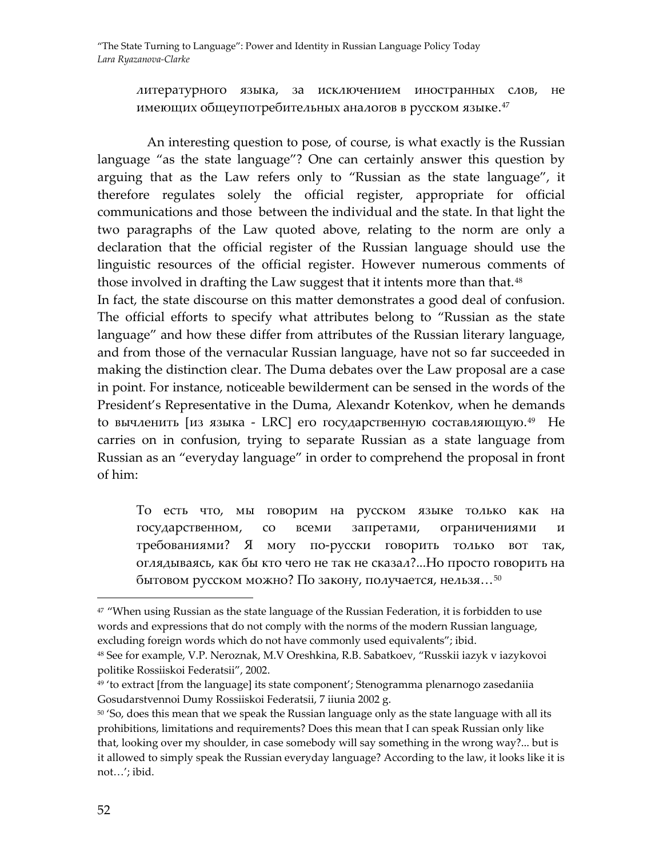литературного языка, за исключением иностранных слов, не имеющих общеупотребительных аналогов в русском языке. [47](#page-16-0)

An interesting question to pose, of course, is what exactly is the Russian language "as the state language"? One can certainly answer this question by arguing that as the Law refers only to "Russian as the state language", it therefore regulates solely the official register, appropriate for official communications and those between the individual and the state. In that light the two paragraphs of the Law quoted above, relating to the norm are only a declaration that the official register of the Russian language should use the linguistic resources of the official register. However numerous comments of those involved in drafting the Law suggest that it intents more than that.<sup>[48](#page-16-1)</sup>

In fact, the state discourse on this matter demonstrates a good deal of confusion. The official efforts to specify what attributes belong to "Russian as the state language" and how these differ from attributes of the Russian literary language, and from those of the vernacular Russian language, have not so far succeeded in making the distinction clear. The Duma debates over the Law proposal are a case in point. For instance, noticeable bewilderment can be sensed in the words of the President's Representative in the Duma, Alexandr Kotenkov, when he demands to вычленить [из языка - LRC] его государственную составляющую.<sup>[49](#page-16-2)</sup> He carries on in confusion, trying to separate Russian as a state language from Russian as an "everyday language" in order to comprehend the proposal in front of him:

То есть что, мы говорим на русском языке только как на государственном, со всеми запретами, ограничениями и требованиями? Я могу по‐русски говорить толькo вот так, оглядываясь, как бы кто чего не так не сказал?...Но просто говорить на бытовом русском можно? По закону, получается, нельзя…[50](#page-16-3)

<span id="page-16-0"></span> $47$  "When using Russian as the state language of the Russian Federation, it is forbidden to use words and expressions that do not comply with the norms of the modern Russian language, excluding foreign words which do not have commonly used equivalents"; ibid.

<span id="page-16-1"></span><sup>48</sup> See for example, V.P. Neroznak, M.V Oreshkina, R.B. Sabatkoev, "Russkii iazyk v iazykovoi politike Rossiiskoi Federatsii", 2002.

<span id="page-16-2"></span> $49$  'to extract [from the language] its state component'; Stenogramma plenarnogo zasedaniia Gosudarstvennoi Dumy Rossiiskoi Federatsii, 7 iiunia 2002 g.

<span id="page-16-3"></span><sup>&</sup>lt;sup>50</sup> 'So, does this mean that we speak the Russian language only as the state language with all its prohibitions, limitations and requirements? Does this mean that I can speak Russian only like that, looking over my shoulder, in case somebody will say something in the wrong way?... but is it allowed to simply speak the Russian everyday language? According to the law, it looks like it is not…'; ibid.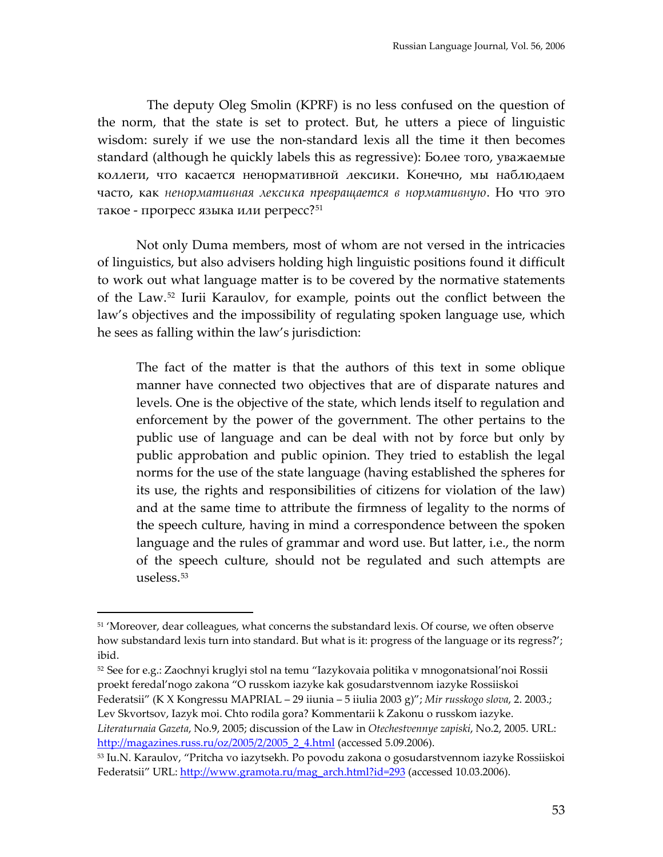The deputy Oleg Smolin (KPRF) is no less confused on the question of the norm, that the state is set to protect. But, he utters a piece of linguistic wisdom: surely if we use the non-standard lexis all the time it then becomes standard (although he quickly labels this as regressive): Более того, уважаемые коллеги, что касается ненормативной лексики. Конечно, мы наблюдаем часто, как *ненормативная лексика превращается в нормативную*. Но что это такое - прогресс языка или регресс?<sup>[51](#page-17-0)</sup>

Not only Duma members, most of whom are not versed in the intricacies of linguistics, but also advisers holding high linguistic positions found it difficult to work out what language matter is to be covered by the normative statements of the Law.[52](#page-17-1) Iurii Karaulov, for example, points out the conflict between the law's objectives and the impossibility of regulating spoken language use, which he sees as falling within the law's jurisdiction:

The fact of the matter is that the authors of this text in some oblique manner have connected two objectives that are of disparate natures and levels. One is the objective of the state, which lends itself to regulation and enforcement by the power of the government. The other pertains to the public use of language and can be deal with not by force but only by public approbation and public opinion. They tried to establish the legal norms for the use of the state language (having established the spheres for its use, the rights and responsibilities of citizens for violation of the law) and at the same time to attribute the firmness of legality to the norms of the speech culture, having in mind a correspondence between the spoken language and the rules of grammar and word use. But latter, i.e., the norm of the speech culture, should not be regulated and such attempts are useless.[53](#page-17-2)

 $\overline{a}$ 

Federatsii" (K X Kongressu MAPRIAL – 29 iiunia – 5 iiulia 2003 g)"; *Mir russkogo slova*, 2. 2003.; Lev Skvortsov, Iazyk moi. Chto rodila gora? Kommentarii k Zakonu o russkom iazyke.

*Literaturnaia Gazeta*, No.9, 2005; discussion of the Law in *Otechestvennye zapiski*, No.2, 2005. URL: [http://magazines.russ.ru/oz/2005/2/2005\\_2\\_4.html](http://magazines.russ.ru/oz/2005/2/2005_2_4.html) (accessed 5.09.2006).

<span id="page-17-0"></span><sup>&</sup>lt;sup>51</sup> 'Moreover, dear colleagues, what concerns the substandard lexis. Of course, we often observe how substandard lexis turn into standard. But what is it: progress of the language or its regress?'; ibid.

<span id="page-17-1"></span><sup>52</sup> See for e.g.: Zaochnyi kruglyi stol na temu "Iazykovaia politika v mnogonatsional'noi Rossii proekt feredal'nogo zakona "O russkom iazyke kak gosudarstvennom iazyke Rossiiskoi

<span id="page-17-2"></span><sup>53</sup> Iu.N. Karaulov, "Pritcha vo iazytsekh. Po povodu zakona o gosudarstvennom iazyke Rossiiskoi Federatsii" URL: [http://www.gramota.ru/mag\\_arch.html?id=293](http://www.gramota.ru/mag_arch.html?id=293) (accessed 10.03.2006).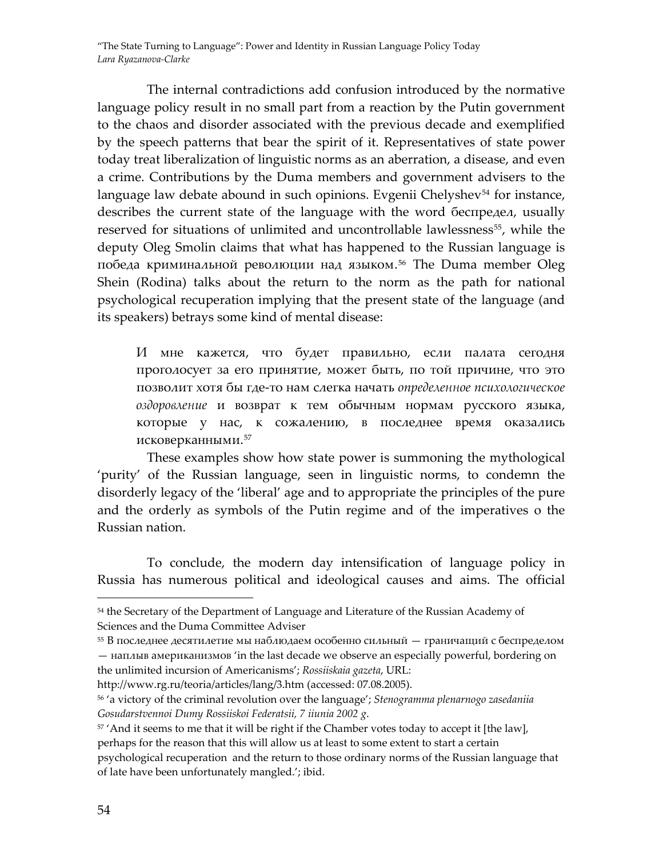The internal contradictions add confusion introduced by the normative language policy result in no small part from a reaction by the Putin government to the chaos and disorder associated with the previous decade and exemplified by the speech patterns that bear the spirit of it. Representatives of state power today treat liberalization of linguistic norms as an aberration, a disease, and even a crime. Contributions by the Duma members and government advisers to the language law debate abound in such opinions. Evgenii Chelyshev<sup>[54](#page-18-0)</sup> for instance, describes the current state of the language with the word беспредел, usually reserved for situations of unlimited and uncontrollable lawlessness<sup>[55](#page-18-1)</sup>, while the deputy Oleg Smolin claims that what has happened to the Russian language is победа криминальной революции над языком. [56](#page-18-2) The Duma member Oleg Shein (Rodina) talks about the return to the norm as the path for national psychological recuperation implying that the present state of the language (and its speakers) betrays some kind of mental disease:

И мне кажется, что будет правильно, если палата сегодня проголосует за его принятие, может быть, по той причине, что это позволит хотя бы где‐то нам слегка начать *определенное психологическое оздоровление* и возврат к тем обычным нормам русского языка, которые у нас, к сожалению, в последнее время оказались исковерканными.[57](#page-18-3)

These examples show how state power is summoning the mythological 'purity' of the Russian language, seen in linguistic norms, to condemn the disorderly legacy of the 'liberal' age and to appropriate the principles of the pure and the orderly as symbols of the Putin regime and of the imperatives o the Russian nation.

To conclude, the modern day intensification of language policy in Russia has numerous political and ideological causes and aims. The official

http://www.rg.ru/teoria/articles/lang/3.htm (accessed: 07.08.2005).

<span id="page-18-0"></span><sup>&</sup>lt;sup>54</sup> the Secretary of the Department of Language and Literature of the Russian Academy of Sciences and the Duma Committee Adviser

<span id="page-18-1"></span><sup>55</sup> В последнее десятилетие мы наблюдаем особенно сильный — граничащий с беспределом — наплыв американизмов 'in the last decade we observe an especially powerful, bordering on the unlimited incursion of Americanisms'; *Rossiiskaia gazeta*, URL:

<span id="page-18-2"></span><sup>56</sup> 'a victory of the criminal revolution over the language'; *Stenogramma plenarnogo zasedaniia Gosudarstvennoi Dumy Rossiiskoi Federatsii, 7 iiunia 2002 g*.

<span id="page-18-3"></span> $57'$  And it seems to me that it will be right if the Chamber votes today to accept it [the law],

perhaps for the reason that this will allow us at least to some extent to start a certain psychological recuperation and the return to those ordinary norms of the Russian language that of late have been unfortunately mangled.'; ibid.